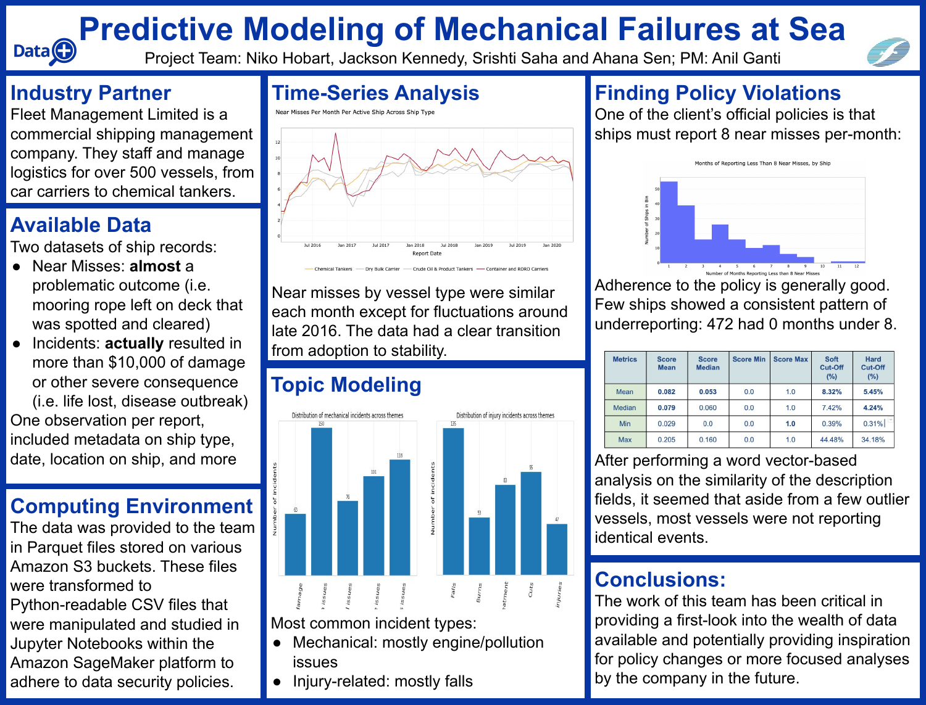#### **Industry Partner**

Data<sup>O</sup>

Fleet Management Limited is a commercial shipping management company. They staff and manage logistics for over 500 vessels, from car carriers to chemical tankers.

#### **Time-Series Analysis**

Near Misses Per Month Per Active Ship Across Ship Type



Near misses by vessel type were similar each month except for fluctuations around late 2016. The data had a clear transition from adoption to stability.

**Finding Policy Violations** One of the client's official policies is that ships must report 8 near misses per-month:



Adherence to the policy is generally good. Few ships showed a consistent pattern of underreporting: 472 had 0 months under 8.

| <b>Metrics</b> | <b>Score</b><br><b>Mean</b> | <b>Score</b><br><b>Median</b> | <b>Score Min</b> | <b>Score Max</b> | <b>Soft</b><br><b>Cut-Off</b><br>$(\%)$ | <b>Hard</b><br><b>Cut-Off</b><br>$(\%)$ |
|----------------|-----------------------------|-------------------------------|------------------|------------------|-----------------------------------------|-----------------------------------------|
| Mean           | 0.082                       | 0.053                         | 0.0              | 1.0              | 8.32%                                   | 5.45%                                   |
| <b>Median</b>  | 0.079                       | 0.060                         | 0.0              | 1.0              | 7.42%                                   | 4.24%                                   |
| <b>Min</b>     | 0.029                       | 0.0                           | 0.0              | 1.0              | 0.39%                                   | 0.31%                                   |
| <b>Max</b>     | 0.205                       | 0.160                         | 0.0              | 1.0              | 44.48%                                  | 34.18%                                  |

After performing a word vector-based analysis on the similarity of the description fields, it seemed that aside from a few outlier vessels, most vessels were not reporting identical events.

The data was provided to the team in Parquet files stored on various Amazon S3 buckets. These files were transformed to Python-readable CSV files that were manipulated and studied in Jupyter Notebooks within the Amazon SageMaker platform to adhere to data security policies.

# **Predictive Modeling of Mechanical Failures at Sea**

Project Team: Niko Hobart, Jackson Kennedy, Srishti Saha and Ahana Sen; PM: Anil Ganti

### **Available Data**

Two datasets of ship records:

- Near Misses: **almost** a problematic outcome (i.e. mooring rope left on deck that was spotted and cleared)
- Incidents: **actually** resulted in more than \$10,000 of damage or other severe consequence (i.e. life lost, disease outbreak)

One observation per report, included metadata on ship type, date, location on ship, and more

#### **Computing Environment**

#### **Conclusions:**

The work of this team has been critical in providing a first-look into the wealth of data available and potentially providing inspiration for policy changes or more focused analyses by the company in the future.



## **Topic Modeling**



Most common incident types:

- Mechanical: mostly engine/pollution issues
- Injury-related: mostly falls